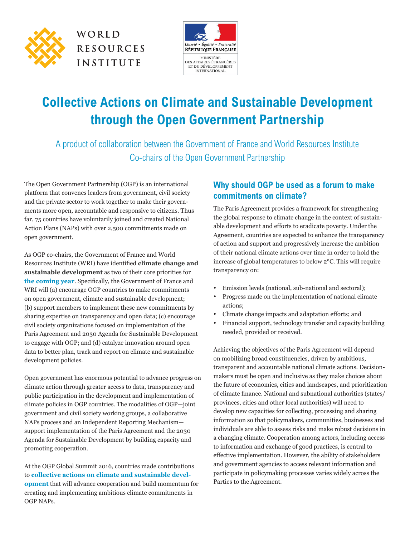

WORLD **RESOURCES INSTITUTE** 



# **Collective Actions on Climate and Sustainable Development through the Open Government Partnership**

A product of collaboration between the Government of France and World Resources Institute Co-chairs of the Open Government Partnership

The Open Government Partnership (OGP) is an international platform that convenes leaders from government, civil society and the private sector to work together to make their governments more open, accountable and responsive to citizens. Thus far, 75 countries have voluntarily joined and created National Action Plans (NAPs) with over 2,500 commitments made on open government.

As OGP co-chairs, the Government of France and World Resources Institute (WRI) have identified **climate change and sustainable development** as two of their core priorities for **the [coming year](http://www.opengovpartnership.org/france-world-resources-institute-cochair-declaration-ogp)**. Specifically, the Government of France and WRI will (a) encourage OGP countries to make commitments on open government, climate and sustainable development; (b) support members to implement these new commitments by sharing expertise on transparency and open data; (c) encourage civil society organizations focused on implementation of the Paris Agreement and 2030 Agenda for Sustainable Development to engage with OGP; and (d) catalyze innovation around open data to better plan, track and report on climate and sustainable development policies.

Open government has enormous potential to advance progress on climate action through greater access to data, transparency and public participation in the development and implementation of climate policies in OGP countries. The modalities of OGP—joint government and civil society working groups, a collaborative NAPs process and an Independent Reporting Mechanism support implementation of the Paris Agreement and the 2030 Agenda for Sustainable Development by building capacity and promoting cooperation.

At the OGP Global Summit 2016, countries made contributions to **[collective actions on climate and sustainable devel](http://paris-declaration.ogpsummit.org/)[opment](http://paris-declaration.ogpsummit.org/)** that will advance cooperation and build momentum for creating and implementing ambitious climate commitments in OGP NAPs.

## **Why should OGP be used as a forum to make commitments on climate?**

The Paris Agreement provides a framework for strengthening the global response to climate change in the context of sustainable development and efforts to eradicate poverty. Under the Agreement, countries are expected to enhance the transparency of action and support and progressively increase the ambition of their national climate actions over time in order to hold the increase of global temperatures to below 2°C. This will require transparency on:

- Emission levels (national, sub-national and sectoral);
- • Progress made on the implementation of national climate actions;
- Climate change impacts and adaptation efforts; and
- Financial support, technology transfer and capacity building needed, provided or received.

Achieving the objectives of the Paris Agreement will depend on mobilizing broad constituencies, driven by ambitious, transparent and accountable national climate actions. Decisionmakers must be open and inclusive as they make choices about the future of economies, cities and landscapes, and prioritization of climate finance. National and subnational authorities (states/ provinces, cities and other local authorities) will need to develop new capacities for collecting, processing and sharing information so that policymakers, communities, businesses and individuals are able to assess risks and make robust decisions in a changing climate. Cooperation among actors, including access to information and exchange of good practices, is central to effective implementation. However, the ability of stakeholders and government agencies to access relevant information and participate in policymaking processes varies widely across the Parties to the Agreement.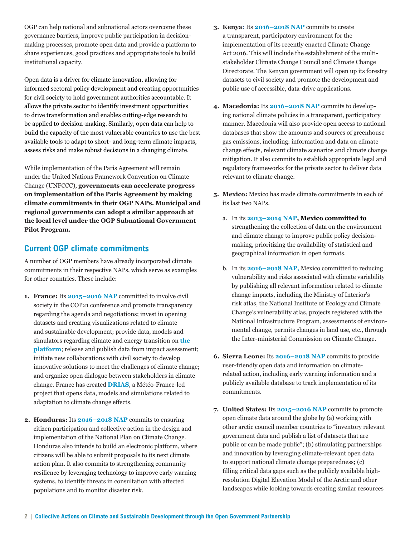OGP can help national and subnational actors overcome these governance barriers, improve public participation in decisionmaking processes, promote open data and provide a platform to share experiences, good practices and appropriate tools to build institutional capacity.

Open data is a driver for climate innovation, allowing for informed sectoral policy development and creating opportunities for civil society to hold government authorities accountable. It allows the private sector to identify investment opportunities to drive transformation and enables cutting-edge research to be applied to decision-making. Similarly, open data can help to build the capacity of the most vulnerable countries to use the best available tools to adapt to short- and long-term climate impacts, assess risks and make robust decisions in a changing climate.

While implementation of the Paris Agreement will remain under the United Nations Framework Convention on Climate Change (UNFCCC), **governments can accelerate progress on implementation of the Paris Agreement by making climate commitments in their OGP NAPs. Municipal and regional governments can adopt a similar approach at the local level under the OGP Subnational Government Pilot Program.**

#### **Current OGP climate commitments**

A number of OGP members have already incorporated climate commitments in their respective NAPs, which serve as examples for other countries. These include:

- **1. France:** Its **[2015–2016 NAP](http://www.opengovpartnership.org/sites/default/files/2015%2007%2009_Plan%20gouvernement%20ouvert%20EN%20Version%20Finale_0.pdf)** committed to involve civil society in the COP21 conference and promote transparency regarding the agenda and negotiations; invest in opening datasets and creating visualizations related to climate and sustainable development; provide data, models and simulators regarding climate and energy transition on **[the](http://www.data.gouv.fr)  [platform](http://www.data.gouv.fr)**; release and publish data from impact assessment; initiate new collaborations with civil society to develop innovative solutions to meet the challenges of climate change; and organize open dialogue between stakeholders in climate change. France has created **[DRIAS](http://www.drias-climat.fr)**, a Météo-France-led project that opens data, models and simulations related to adaptation to climate change effects.
- **2. Honduras:** Its **[2016–2018 NAP](http://www.opengovpartnership.org/sites/default/files/Honduras_AP3_2016.pdf)** commits to ensuring citizen participation and collective action in the design and implementation of the National Plan on Climate Change. Honduras also intends to build an electronic platform, where citizens will be able to submit proposals to its next climate action plan. It also commits to strengthening community resilience by leveraging technology to improve early warning systems, to identify threats in consultation with affected populations and to monitor disaster risk.
- **3. Kenya:** Its **[2016–2018 NAP](http://www.opengovpartnership.org/sites/default/files/Kenya_AP2_2016_0.pdf)** commits to create a transparent, participatory environment for the implementation of its recently enacted Climate Change Act 2016. This will include the establishment of the multistakeholder Climate Change Council and Climate Change Directorate. The Kenyan government will open up its forestry datasets to civil society and promote the development and public use of accessible, data-drive applications.
- **4. Macedonia:** Its **[2016–2018 NAP](http://www.opengovpartnership.org/country/macedonia/action-plan)** commits to developing national climate policies in a transparent, participatory manner. Macedonia will also provide open access to national databases that show the amounts and sources of greenhouse gas emissions, including: information and data on climate change effects, relevant climate scenarios and climate change mitigation. It also commits to establish appropriate legal and regulatory frameworks for the private sector to deliver data relevant to climate change.
- **5. Mexico:** Mexico has made climate commitments in each of its last two NAPs.
	- a. In its **[2013–2014 NAP](http://www.opengovpartnership.org/country/mexico/action-plan), Mexico committed to** strengthening the collection of data on the environment and climate change to improve public policy decisionmaking, prioritizing the availability of statistical and geographical information in open formats.
	- b. In its **[2016–2018 NAP,](http://www.opengovpartnership.org/sites/default/files/Mexico_Plan-de-Accion-2016-2018.pdf)** Mexico committed to reducing vulnerability and risks associated with climate variability by publishing all relevant information related to climate change impacts, including the Ministry of Interior's risk atlas, the National Institute of Ecology and Climate Change's vulnerability atlas, projects registered with the National Infrastructure Program, assessments of environmental change, permits changes in land use, etc., through the Inter-ministerial Commission on Climate Change.
- **6. Sierra Leone:** Its **[2016–2018 NAP](http://www.opengovpartnership.org/country/sierra-leone/action-plan)** commits to provide user-friendly open data and information on climaterelated action, including early warning information and a publicly available database to track implementation of its commitments.
- **7. United States:** Its **[2015–2016 NAP](http://www.opengovpartnership.org/sites/default/files/final_us_open_government_national_action_plan_3_0_0.pdf)** commits to promote open climate data around the globe by (a) working with other arctic council member countries to "inventory relevant government data and publish a list of datasets that are public or can be made public"; (b) stimulating partnerships and innovation by leveraging climate-relevant open data to support national climate change preparedness; (c) filling critical data gaps such as the publicly available highresolution Digital Elevation Model of the Arctic and other landscapes while looking towards creating similar resources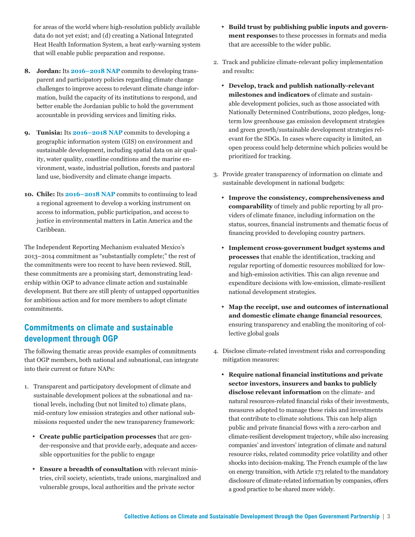for areas of the world where high-resolution publicly available data do not yet exist; and (d) creating a National Integrated Heat Health Information System, a heat early-warning system that will enable public preparation and response.

- **8. Jordan:** Its **[2016–2018 NAP](https://www.opengovpartnership.org/country/jordan/action-plan)** commits to developing transparent and participatory policies regarding climate change challenges to improve access to relevant climate change information, build the capacity of its institutions to respond, and better enable the Jordanian public to hold the government accountable in providing services and limiting risks.
- **9. Tunisia:** Its **[2016–2018 NAP](https://www.opengovpartnership.org/country/tunisia/action-plan)** commits to developing a geographic information system (GIS) on environment and sustainable development, including spatial data on air quality, water quality, coastline conditions and the marine environment, waste, industrial pollution, forests and pastoral land use, biodiversity and climate change impacts.
- **10. Chile:** Its **[2016–2018 NAP](https://www.opengovpartnership.org/country/chile/action-plan)** commits to continuing to lead a regional agreement to develop a working instrument on access to information, public participation, and access to justice in environmental matters in Latin America and the Caribbean.

The Independent Reporting Mechanism evaluated Mexico's 2013–2014 commitment as "substantially complete;" the rest of the commitments were too recent to have been reviewed. Still, these commitments are a promising start, demonstrating leadership within OGP to advance climate action and sustainable development. But there are still plenty of untapped opportunities for ambitious action and for more members to adopt climate commitments.

## **Commitments on climate and sustainable development through OGP**

The following thematic areas provide examples of commitments that OGP members, both national and subnational, can integrate into their current or future NAPs:

- 1. Transparent and participatory development of climate and sustainable development polices at the subnational and national levels, including (but not limited to) climate plans, mid-century low emission strategies and other national submissions requested under the new transparency framework:
	- • **Create public participation processes** that are gender-responsive and that provide early, adequate and accessible opportunities for the public to engage
	- • **Ensure a breadth of consultation** with relevant ministries, civil society, scientists, trade unions, marginalized and vulnerable groups, local authorities and the private sector
- • **Build trust by publishing public inputs and government response**s to these processes in formats and media that are accessible to the wider public.
- 2. Track and publicize climate-relevant policy implementation and results:
	- • **Develop, track and publish nationally-relevant milestones and indicators** of climate and sustainable development policies, such as those associated with Nationally Determined Contributions, 2020 pledges, longterm low greenhouse gas emission development strategies and green growth/sustainable development strategies relevant for the SDGs. In cases where capacity is limited, an open process could help determine which policies would be prioritized for tracking.
- 3. Provide greater transparency of information on climate and sustainable development in national budgets:
	- • **Improve the consistency, comprehensiveness and comparability** of timely and public reporting by all providers of climate finance, including information on the status, sources, financial instruments and thematic focus of financing provided to developing country partners.
	- • **Implement cross-government budget systems and processes** that enable the identification, tracking and regular reporting of domestic resources mobilized for lowand high-emission activities. This can align revenue and expenditure decisions with low-emission, climate-resilient national development strategies.
	- • **Map the receipt, use and outcomes of international and domestic climate change financial resources**, ensuring transparency and enabling the monitoring of collective global goals
- 4. Disclose climate-related investment risks and corresponding mitigation measures:
	- • **Require national financial institutions and private sector investors, insurers and banks to publicly disclose relevant information** on the climate- and natural resources-related financial risks of their investments, measures adopted to manage these risks and investments that contribute to climate solutions. This can help align public and private financial flows with a zero-carbon and climate-resilient development trajectory, while also increasing companies' and investors' integration of climate and natural resource risks, related commodity price volatility and other shocks into decision-making. The French example of the law on energy transition, with Article 173 related to the mandatory disclosure of climate-related information by companies, offers a good practice to be shared more widely.